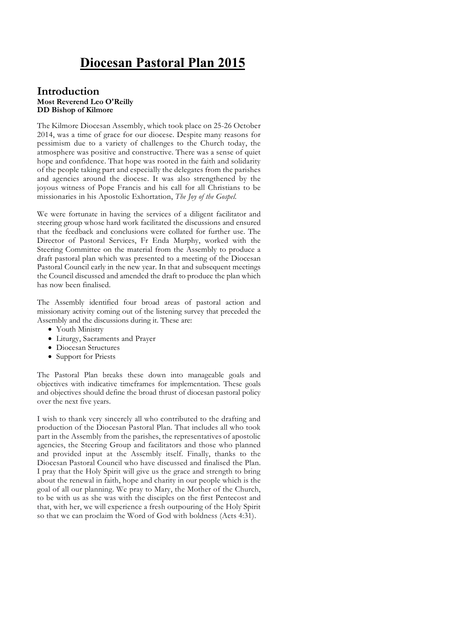# **Diocesan Pastoral Plan 2015**

#### **Introduction Most Reverend Leo O'Reilly DD Bishop of Kilmore**

The Kilmore Diocesan Assembly, which took place on 25-26 October 2014, was a time of grace for our diocese. Despite many reasons for pessimism due to a variety of challenges to the Church today, the atmosphere was positive and constructive. There was a sense of quiet hope and confidence. That hope was rooted in the faith and solidarity of the people taking part and especially the delegates from the parishes and agencies around the diocese. It was also strengthened by the joyous witness of Pope Francis and his call for all Christians to be missionaries in his Apostolic Exhortation, *The Joy of the Gospel.*

We were fortunate in having the services of a diligent facilitator and steering group whose hard work facilitated the discussions and ensured that the feedback and conclusions were collated for further use. The Director of Pastoral Services, Fr Enda Murphy, worked with the Steering Committee on the material from the Assembly to produce a draft pastoral plan which was presented to a meeting of the Diocesan Pastoral Council early in the new year. In that and subsequent meetings the Council discussed and amended the draft to produce the plan which has now been finalised.

The Assembly identified four broad areas of pastoral action and missionary activity coming out of the listening survey that preceded the Assembly and the discussions during it. These are:

- Youth Ministry
- Liturgy, Sacraments and Prayer
- Diocesan Structures
- Support for Priests

The Pastoral Plan breaks these down into manageable goals and objectives with indicative timeframes for implementation. These goals and objectives should define the broad thrust of diocesan pastoral policy over the next five years.

I wish to thank very sincerely all who contributed to the drafting and production of the Diocesan Pastoral Plan. That includes all who took part in the Assembly from the parishes, the representatives of apostolic agencies, the Steering Group and facilitators and those who planned and provided input at the Assembly itself. Finally, thanks to the Diocesan Pastoral Council who have discussed and finalised the Plan. I pray that the Holy Spirit will give us the grace and strength to bring about the renewal in faith, hope and charity in our people which is the goal of all our planning. We pray to Mary, the Mother of the Church, to be with us as she was with the disciples on the first Pentecost and that, with her, we will experience a fresh outpouring of the Holy Spirit so that we can proclaim the Word of God with boldness (Acts 4:31).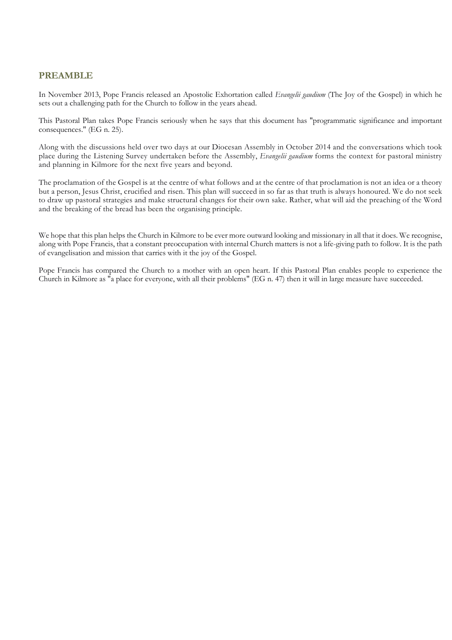# **PREAMBLE**

In November 2013, Pope Francis released an Apostolic Exhortation called *Evangelii gaudium* (The Joy of the Gospel) in which he sets out a challenging path for the Church to follow in the years ahead.

This Pastoral Plan takes Pope Francis seriously when he says that this document has "programmatic significance and important consequences." (EG n. 25).

Along with the discussions held over two days at our Diocesan Assembly in October 2014 and the conversations which took place during the Listening Survey undertaken before the Assembly, *Evangelii gaudium* forms the context for pastoral ministry and planning in Kilmore for the next five years and beyond.

The proclamation of the Gospel is at the centre of what follows and at the centre of that proclamation is not an idea or a theory but a person, Jesus Christ, crucified and risen. This plan will succeed in so far as that truth is always honoured. We do not seek to draw up pastoral strategies and make structural changes for their own sake. Rather, what will aid the preaching of the Word and the breaking of the bread has been the organising principle.

We hope that this plan helps the Church in Kilmore to be ever more outward looking and missionary in all that it does. We recognise, along with Pope Francis, that a constant preoccupation with internal Church matters is not a life-giving path to follow. It is the path of evangelisation and mission that carries with it the joy of the Gospel.

Pope Francis has compared the Church to a mother with an open heart. If this Pastoral Plan enables people to experience the Church in Kilmore as "a place for everyone, with all their problems" (EG n. 47) then it will in large measure have succeeded.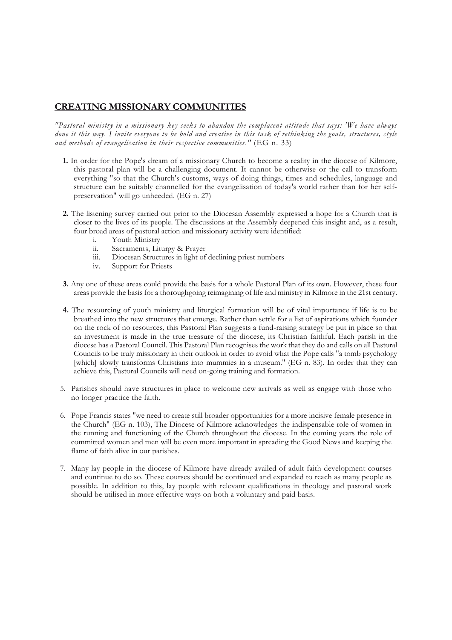### **CREATING MISSIONARY COMMUNITIES**

*"Pastoral ministry in a missionary key seeks to abandon the complacent attitude that says: 'We have always done it this way. I invite everyone to be bold and creative in this task of rethinking the goals, structures, style and methods of evangelisation in their respective communities."* (EG n. 33)

- **1.** In order for the Pope's dream of a missionary Church to become a reality in the diocese of Kilmore, this pastoral plan will be a challenging document. It cannot be otherwise or the call to transform everything "so that the Church's customs, ways of doing things, times and schedules, language and structure can be suitably channelled for the evangelisation of today's world rather than for her selfpreservation" will go unheeded. (EG n. 27)
- **2.** The listening survey carried out prior to the Diocesan Assembly expressed a hope for a Church that is closer to the lives of its people. The discussions at the Assembly deepened this insight and, as a result, four broad areas of pastoral action and missionary activity were identified:
	- i. Youth Ministry<br>ii Sacraments Lit
	- Sacraments, Liturgy & Prayer
	- iii. Diocesan Structures in light of declining priest numbers
	- iv. Support for Priests
- **3.** Any one of these areas could provide the basis for a whole Pastoral Plan of its own. However, these four areas provide the basis for a thoroughgoing reimagining of life and ministry in Kilmore in the 21st century.
- **4.** The resourcing of youth ministry and liturgical formation will be of vital importance if life is to be breathed into the new structures that emerge. Rather than settle for a list of aspirations which founder on the rock of no resources, this Pastoral Plan suggests a fund-raising strategy be put in place so that an investment is made in the true treasure of the diocese, its Christian faithful. Each parish in the diocese has a Pastoral Council. This Pastoral Plan recognises the work that they do and calls on all Pastoral Councils to be truly missionary in their outlook in order to avoid what the Pope calls "a tomb psychology [which] slowly transforms Christians into mummies in a museum." (EG n. 83). In order that they can achieve this, Pastoral Councils will need on-going training and formation.
- 5. Parishes should have structures in place to welcome new arrivals as well as engage with those who no longer practice the faith.
- 6. Pope Francis states "we need to create still broader opportunities for a more incisive female presence in the Church" (EG n. 103), The Diocese of Kilmore acknowledges the indispensable role of women in the running and functioning of the Church throughout the diocese. In the coming years the role of committed women and men will be even more important in spreading the Good News and keeping the flame of faith alive in our parishes.
- 7. Many lay people in the diocese of Kilmore have already availed of adult faith development courses and continue to do so. These courses should be continued and expanded to reach as many people as possible. In addition to this, lay people with relevant qualifications in theology and pastoral work should be utilised in more effective ways on both a voluntary and paid basis.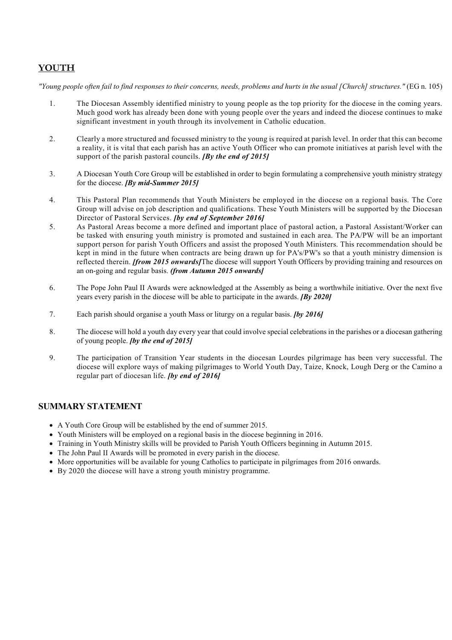# **YOUTH**

*"Young people often fail to find responses to their concerns, needs, problems and hurts in the usual [Church] structures."* (EG n. 105)

- 1. The Diocesan Assembly identified ministry to young people as the top priority for the diocese in the coming years. Much good work has already been done with young people over the years and indeed the diocese continues to make significant investment in youth through its involvement in Catholic education.
- 2. Clearly a more structured and focussed ministry to the young is required at parish level. In order that this can become a reality, it is vital that each parish has an active Youth Officer who can promote initiatives at parish level with the support of the parish pastoral councils. *[By the end of 2015]*
- 3. A Diocesan Youth Core Group will be established in order to begin formulating a comprehensive youth ministry strategy for the diocese. *[By mid-Summer 2015]*
- 4. This Pastoral Plan recommends that Youth Ministers be employed in the diocese on a regional basis. The Core Group will advise on job description and qualifications. These Youth Ministers will be supported by the Diocesan Director of Pastoral Services. *[by end of September 2016]*
- 5. As Pastoral Areas become a more defined and important place of pastoral action, a Pastoral Assistant/Worker can be tasked with ensuring youth ministry is promoted and sustained in each area. The PA/PW will be an important support person for parish Youth Officers and assist the proposed Youth Ministers. This recommendation should be kept in mind in the future when contracts are being drawn up for PA's/PW's so that a youth ministry dimension is reflected therein. *[from 2015 onwards]*The diocese will support Youth Officers by providing training and resources on an on-going and regular basis. *(from Autumn 2015 onwards]*
- 6. The Pope John Paul II Awards were acknowledged at the Assembly as being a worthwhile initiative. Over the next five years every parish in the diocese will be able to participate in the awards. *[By 2020]*
- 7. Each parish should organise a youth Mass or liturgy on a regular basis. *[by 2016]*
- 8. The diocese will hold a youth day every year that could involve special celebrations in the parishes or a diocesan gathering of young people. *[by the end of 2015]*
- 9. The participation of Transition Year students in the diocesan Lourdes pilgrimage has been very successful. The diocese will explore ways of making pilgrimages to World Youth Day, Taize, Knock, Lough Derg or the Camino a regular part of diocesan life. *[by end of 2016]*

### **SUMMARY STATEMENT**

- A Youth Core Group will be established by the end of summer 2015.
- Youth Ministers will be employed on a regional basis in the diocese beginning in 2016.
- Training in Youth Ministry skills will be provided to Parish Youth Officers beginning in Autumn 2015.
- The John Paul II Awards will be promoted in every parish in the diocese.
- More opportunities will be available for young Catholics to participate in pilgrimages from 2016 onwards.
- By 2020 the diocese will have a strong youth ministry programme.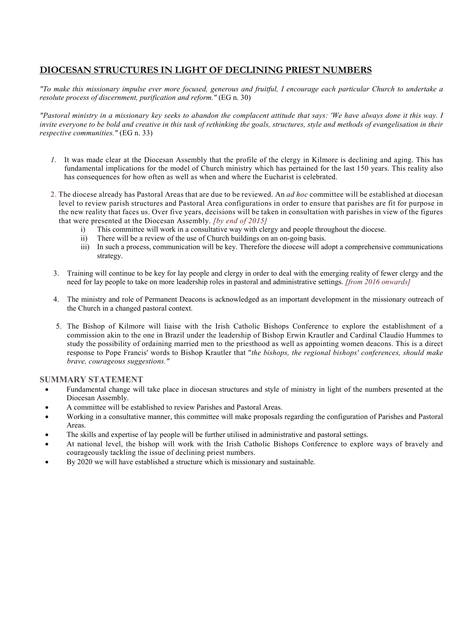# **DIOCESAN STRUCTURES IN LIGHT OF DECLINING PRIEST NUMBERS**

*"To make this missionary impulse ever more focused, generous and fruitful, I encourage each particular Church to undertake a resolute process of discernment, purification and reform."* (EG n. 30)

*"Pastoral ministry in a missionary key seeks to abandon the complacent attitude that says: 'We have always done it this way. I invite everyone to be bold and creative in this task of rethinking the goals, structures, style and methods of evangelisation in their respective communities."* (EG n. 33)

- *1.* It was made clear at the Diocesan Assembly that the profile of the clergy in Kilmore is declining and aging. This has fundamental implications for the model of Church ministry which has pertained for the last 150 years. This reality also has consequences for how often as well as when and where the Eucharist is celebrated.
- 2. The diocese already has Pastoral Areas that are due to be reviewed. An *ad hoc* committee will be established at diocesan level to review parish structures and Pastoral Area configurations in order to ensure that parishes are fit for purpose in the new reality that faces us. Over five years, decisions will be taken in consultation with parishes in view of the figures that were presented at the Diocesan Assembly. *[by end of 2015]*
	- i) This committee will work in a consultative way with clergy and people throughout the diocese.<br>ii) There will be a review of the use of Church buildings on an on-going basis
	- There will be a review of the use of Church buildings on an on-going basis.
	- iii) In such a process, communication will be key. Therefore the diocese will adopt a comprehensive communications strategy.
- 3. Training will continue to be key for lay people and clergy in order to deal with the emerging reality of fewer clergy and the need for lay people to take on more leadership roles in pastoral and administrative settings. *[from 2016 onwards]*
- 4. The ministry and role of Permanent Deacons is acknowledged as an important development in the missionary outreach of the Church in a changed pastoral context.
- 5. The Bishop of Kilmore will liaise with the Irish Catholic Bishops Conference to explore the establishment of a commission akin to the one in Brazil under the leadership of Bishop Erwin Krautler and Cardinal Claudio Hummes to study the possibility of ordaining married men to the priesthood as well as appointing women deacons. This is a direct response to Pope Francis' words to Bishop Krautler that "*the bishops, the regional bishops' conferences, should make brave, courageous suggestions."*

#### **SUMMARY STATEMENT**

- Fundamental change will take place in diocesan structures and style of ministry in light of the numbers presented at the Diocesan Assembly.
- A committee will be established to review Parishes and Pastoral Areas.
- Working in a consultative manner, this committee will make proposals regarding the configuration of Parishes and Pastoral Areas.
- The skills and expertise of lay people will be further utilised in administrative and pastoral settings.
- At national level, the bishop will work with the Irish Catholic Bishops Conference to explore ways of bravely and courageously tackling the issue of declining priest numbers.
- By 2020 we will have established a structure which is missionary and sustainable.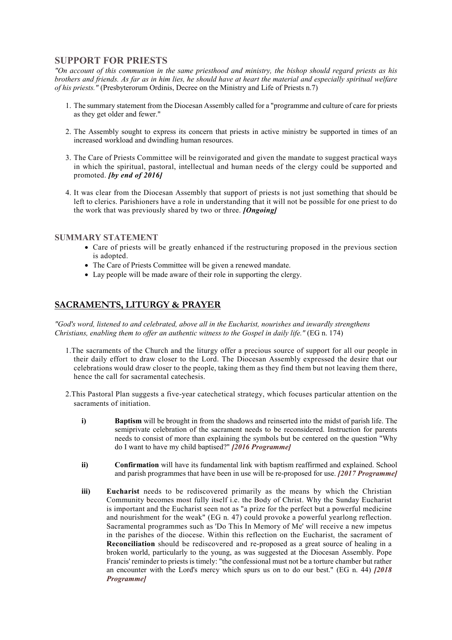# **SUPPORT FOR PRIESTS**

*"On account of this communion in the same priesthood and ministry, the bishop should regard priests as his brothers and friends. As far as in him lies, he should have at heart the material and especially spiritual welfare of his priests."* (Presbyterorum Ordinis, Decree on the Ministry and Life of Priests n.7)

- 1. The summary statement from the Diocesan Assembly called for a "programme and culture of care for priests as they get older and fewer."
- 2. The Assembly sought to express its concern that priests in active ministry be supported in times of an increased workload and dwindling human resources.
- 3. The Care of Priests Committee will be reinvigorated and given the mandate to suggest practical ways in which the spiritual, pastoral, intellectual and human needs of the clergy could be supported and promoted. *[by end of 2016]*
- 4. It was clear from the Diocesan Assembly that support of priests is not just something that should be left to clerics. Parishioners have a role in understanding that it will not be possible for one priest to do the work that was previously shared by two or three. *[Ongoing]*

### **SUMMARY STATEMENT**

- Care of priests will be greatly enhanced if the restructuring proposed in the previous section is adopted.
- The Care of Priests Committee will be given a renewed mandate.
- Lay people will be made aware of their role in supporting the clergy.

# **SACRAMENTS, LITURGY & PRAYER**

*"God's word, listened to and celebrated, above all in the Eucharist, nourishes and inwardly strengthens Christians, enabling them to offer an authentic witness to the Gospel in daily life."* (EG n. 174)

- 1.The sacraments of the Church and the liturgy offer a precious source of support for all our people in their daily effort to draw closer to the Lord. The Diocesan Assembly expressed the desire that our celebrations would draw closer to the people, taking them as they find them but not leaving them there, hence the call for sacramental catechesis.
- 2.This Pastoral Plan suggests a five-year catechetical strategy, which focuses particular attention on the sacraments of initiation.
	- **i) Baptism** will be brought in from the shadows and reinserted into the midst of parish life. The semiprivate celebration of the sacrament needs to be reconsidered. Instruction for parents needs to consist of more than explaining the symbols but be centered on the question "Why do I want to have my child baptised?" *[2016 Programme]*
	- **ii**) **Confirmation** will have its fundamental link with baptism reaffirmed and explained. School and parish programmes that have been in use will be re-proposed for use. *[2017 Programme]*
	- **iii) Eucharist** needs to be rediscovered primarily as the means by which the Christian Community becomes most fully itself i.e. the Body of Christ. Why the Sunday Eucharist is important and the Eucharist seen not as "a prize for the perfect but a powerful medicine and nourishment for the weak" (EG n. 47) could provoke a powerful yearlong reflection. Sacramental programmes such as 'Do This In Memory of Me' will receive a new impetus in the parishes of the diocese. Within this reflection on the Eucharist, the sacrament of **Reconciliation** should be rediscovered and re-proposed as a great source of healing in a broken world, particularly to the young, as was suggested at the Diocesan Assembly. Pope Francis' reminder to priests is timely: "the confessional must not be a torture chamber but rather an encounter with the Lord's mercy which spurs us on to do our best." (EG n. 44) *[2018 Programme]*